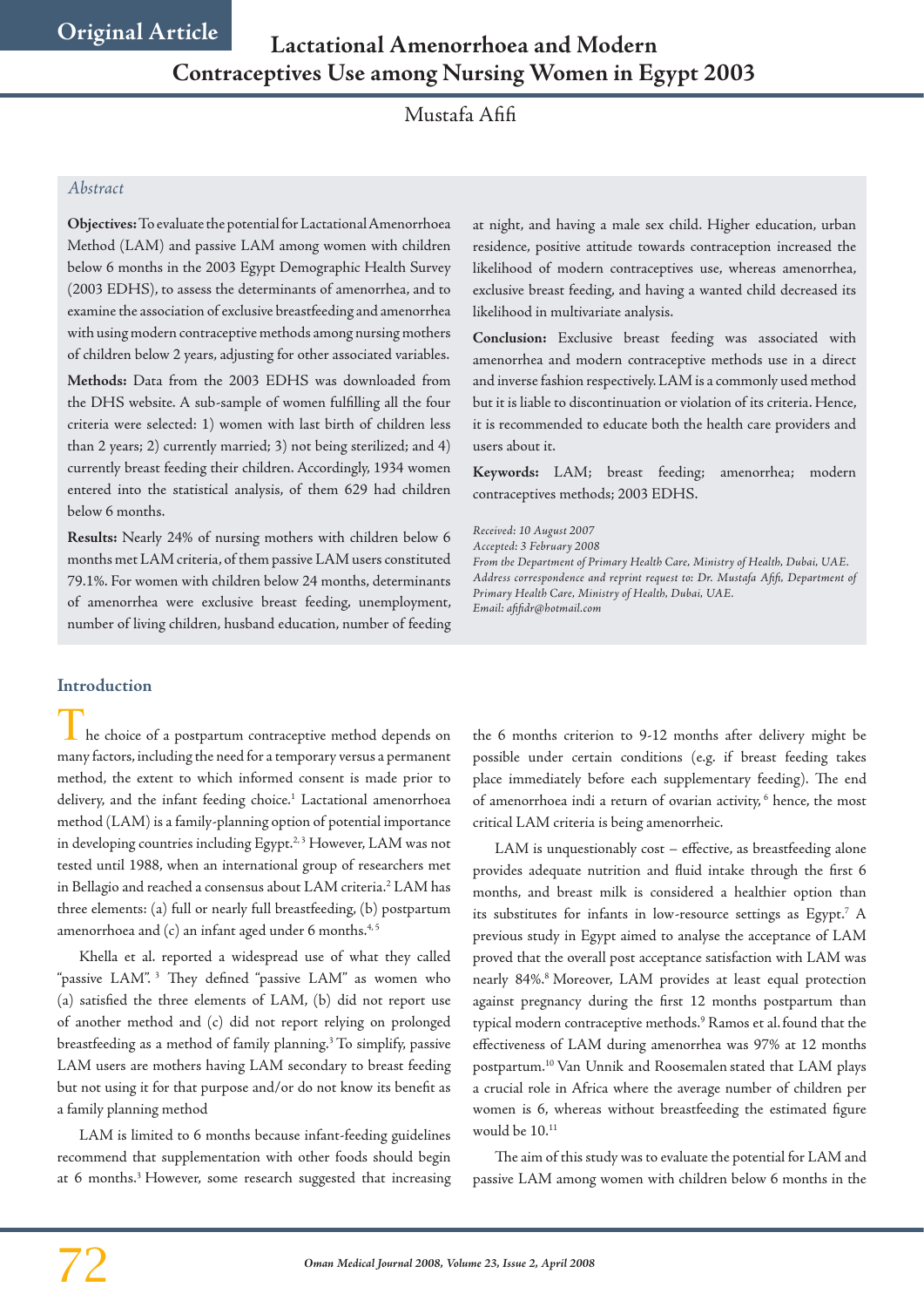Mustafa Afifi

### *Abstract*

**Objectives:** To evaluate the potential for Lactational Amenorrhoea Method (LAM) and passive LAM among women with children below 6 months in the 2003 Egypt Demographic Health Survey (2003 EDHS), to assess the determinants of amenorrhea, and to examine the association of exclusive breastfeeding and amenorrhea with using modern contraceptive methods among nursing mothers of children below 2 years, adjusting for other associated variables. **Methods:** Data from the 2003 EDHS was downloaded from the DHS website. A sub-sample of women fulfilling all the four criteria were selected: 1) women with last birth of children less than 2 years; 2) currently married; 3) not being sterilized; and 4) currently breast feeding their children. Accordingly, 1934 women entered into the statistical analysis, of them 629 had children below 6 months.

**Results:** Nearly 24% of nursing mothers with children below 6 months met LAM criteria, of them passive LAM users constituted 79.1%. For women with children below 24 months, determinants of amenorrhea were exclusive breast feeding, unemployment, number of living children, husband education, number of feeding

**Introduction**

 $\blacksquare$  he choice of a postpartum contraceptive method depends on many factors, including the need for a temporary versus a permanent method, the extent to which informed consent is made prior to delivery, and the infant feeding choice.<sup>1</sup> Lactational amenorrhoea method (LAM) is a family-planning option of potential importance in developing countries including Egypt.<sup>2,3</sup> However, LAM was not tested until 1988, when an international group of researchers met in Bellagio and reached a consensus about LAM criteria.2 LAM has three elements: (a) full or nearly full breastfeeding, (b) postpartum amenorrhoea and  $(c)$  an infant aged under 6 months.<sup>4,5</sup>

Khella et al. reported a widespread use of what they called "passive LAM". 3 They defined "passive LAM" as women who (a) satisfied the three elements of LAM, (b) did not report use of another method and (c) did not report relying on prolonged breastfeeding as a method of family planning.3 To simplify, passive LAM users are mothers having LAM secondary to breast feeding but not using it for that purpose and/or do not know its benefit as a family planning method

LAM is limited to 6 months because infant-feeding guidelines recommend that supplementation with other foods should begin at 6 months.<sup>3</sup> However, some research suggested that increasing at night, and having a male sex child. Higher education, urban residence, positive attitude towards contraception increased the likelihood of modern contraceptives use, whereas amenorrhea, exclusive breast feeding, and having a wanted child decreased its likelihood in multivariate analysis.

**Conclusion:** Exclusive breast feeding was associated with amenorrhea and modern contraceptive methods use in a direct and inverse fashion respectively. LAM is a commonly used method but it is liable to discontinuation or violation of its criteria. Hence, it is recommended to educate both the health care providers and users about it.

**Keywords:** LAM; breast feeding; amenorrhea; modern contraceptives methods; 2003 EDHS.

*Received: 10 August 2007 Accepted: 3 February 2008 From the Department of Primary Health Care, Ministry of Health, Dubai, UAE. Address correspondence and reprint request to: Dr. Mustafa Afifi, Department of Primary Health Care, Ministry of Health, Dubai, UAE. Email: afifidr@hotmail.com*

the 6 months criterion to 9-12 months after delivery might be possible under certain conditions (e.g. if breast feeding takes place immediately before each supplementary feeding). The end of amenorrhoea indi a return of ovarian activity,<sup>6</sup> hence, the most critical LAM criteria is being amenorrheic.

LAM is unquestionably cost – effective, as breastfeeding alone provides adequate nutrition and fluid intake through the first 6 months, and breast milk is considered a healthier option than its substitutes for infants in low-resource settings as Egypt.<sup>7</sup> A previous study in Egypt aimed to analyse the acceptance of LAM proved that the overall post acceptance satisfaction with LAM was nearly 84%.<sup>8</sup> Moreover, LAM provides at least equal protection against pregnancy during the first 12 months postpartum than typical modern contraceptive methods.9 Ramos et al.found that the effectiveness of LAM during amenorrhea was 97% at 12 months postpartum.10 Van Unnik and Roosemalen stated that LAM plays a crucial role in Africa where the average number of children per women is 6, whereas without breastfeeding the estimated figure would be  $10^{11}$ 

The aim of this study was to evaluate the potential for LAM and passive LAM among women with children below 6 months in the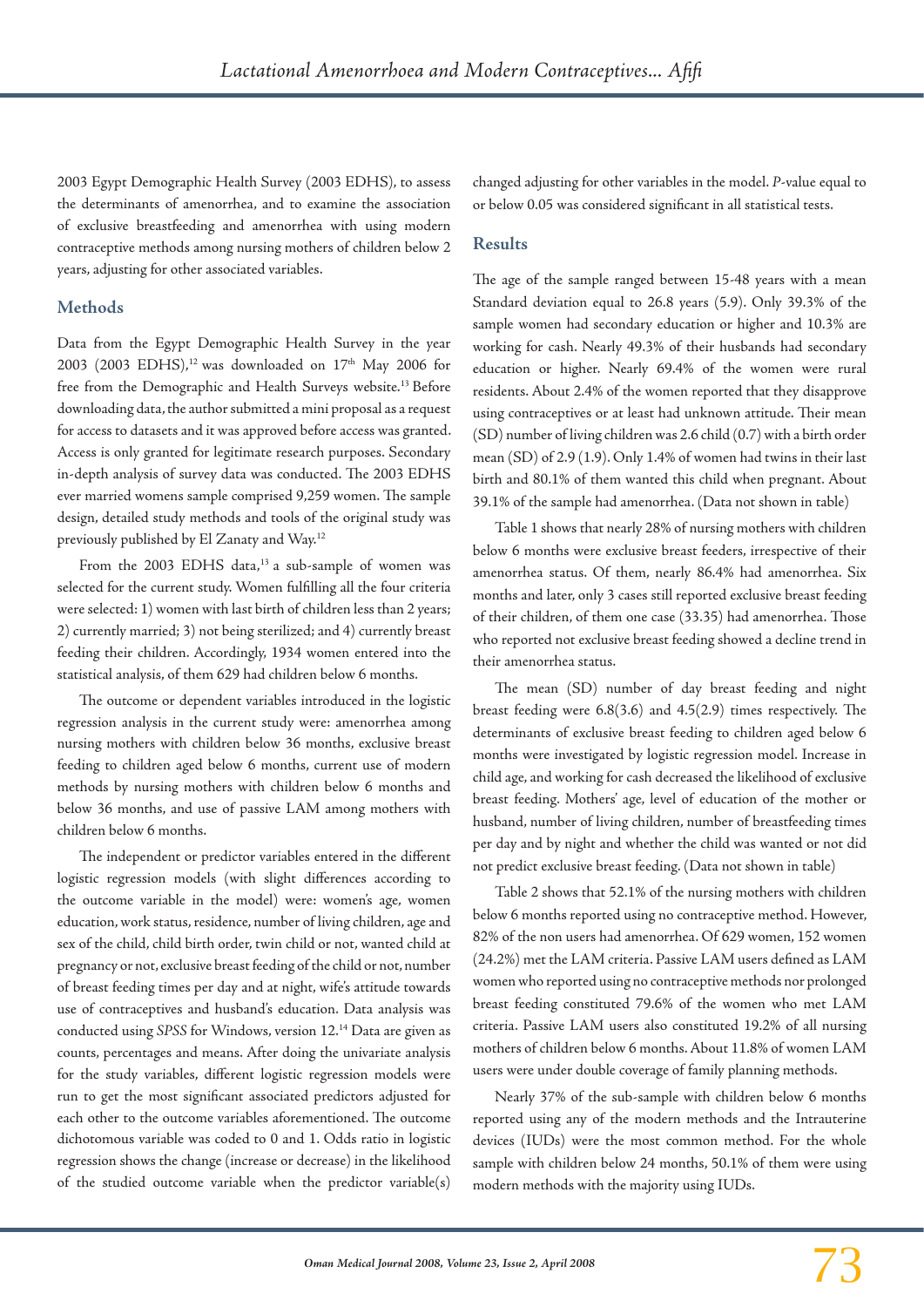2003 Egypt Demographic Health Survey (2003 EDHS), to assess the determinants of amenorrhea, and to examine the association of exclusive breastfeeding and amenorrhea with using modern contraceptive methods among nursing mothers of children below 2 years, adjusting for other associated variables.

# **Methods**

Data from the Egypt Demographic Health Survey in the year 2003 (2003 EDHS),<sup>12</sup> was downloaded on  $17<sup>th</sup>$  May 2006 for free from the Demographic and Health Surveys website.<sup>13</sup> Before downloading data, the author submitted a mini proposal as a request for access to datasets and it was approved before access was granted. Access is only granted for legitimate research purposes. Secondary in-depth analysis of survey data was conducted. The 2003 EDHS ever married womens sample comprised 9,259 women. The sample design, detailed study methods and tools of the original study was previously published by El Zanaty and Way.12

From the 2003 EDHS data, $13$  a sub-sample of women was selected for the current study. Women fulfilling all the four criteria were selected: 1) women with last birth of children less than 2 years; 2) currently married; 3) not being sterilized; and 4) currently breast feeding their children. Accordingly, 1934 women entered into the statistical analysis, of them 629 had children below 6 months.

The outcome or dependent variables introduced in the logistic regression analysis in the current study were: amenorrhea among nursing mothers with children below 36 months, exclusive breast feeding to children aged below 6 months, current use of modern methods by nursing mothers with children below 6 months and below 36 months, and use of passive LAM among mothers with children below 6 months.

The independent or predictor variables entered in the different logistic regression models (with slight differences according to the outcome variable in the model) were: women's age, women education, work status, residence, number of living children, age and sex of the child, child birth order, twin child or not, wanted child at pregnancy or not, exclusive breast feeding of the child or not, number of breast feeding times per day and at night, wife's attitude towards use of contraceptives and husband's education. Data analysis was conducted using *SPSS* for Windows, version 12.14 Data are given as counts, percentages and means. After doing the univariate analysis for the study variables, different logistic regression models were run to get the most significant associated predictors adjusted for each other to the outcome variables aforementioned. The outcome dichotomous variable was coded to 0 and 1. Odds ratio in logistic regression shows the change (increase or decrease) in the likelihood of the studied outcome variable when the predictor variable(s) changed adjusting for other variables in the model. *P*-value equal to or below 0.05 was considered significant in all statistical tests.

## **Results**

The age of the sample ranged between 15-48 years with a mean Standard deviation equal to 26.8 years (5.9). Only 39.3% of the sample women had secondary education or higher and 10.3% are working for cash. Nearly 49.3% of their husbands had secondary education or higher. Nearly 69.4% of the women were rural residents. About 2.4% of the women reported that they disapprove using contraceptives or at least had unknown attitude. Their mean (SD) number of living children was 2.6 child (0.7) with a birth order mean (SD) of 2.9 (1.9). Only 1.4% of women had twins in their last birth and 80.1% of them wanted this child when pregnant. About 39.1% of the sample had amenorrhea. (Data not shown in table)

Table 1 shows that nearly 28% of nursing mothers with children below 6 months were exclusive breast feeders, irrespective of their amenorrhea status. Of them, nearly 86.4% had amenorrhea. Six months and later, only 3 cases still reported exclusive breast feeding of their children, of them one case (33.35) had amenorrhea. Those who reported not exclusive breast feeding showed a decline trend in their amenorrhea status.

The mean (SD) number of day breast feeding and night breast feeding were 6.8(3.6) and 4.5(2.9) times respectively. The determinants of exclusive breast feeding to children aged below 6 months were investigated by logistic regression model. Increase in child age, and working for cash decreased the likelihood of exclusive breast feeding. Mothers' age, level of education of the mother or husband, number of living children, number of breastfeeding times per day and by night and whether the child was wanted or not did not predict exclusive breast feeding. (Data not shown in table)

Table 2 shows that 52.1% of the nursing mothers with children below 6 months reported using no contraceptive method. However, 82% of the non users had amenorrhea. Of 629 women, 152 women (24.2%) met the LAM criteria. Passive LAM users defined as LAM women who reported using no contraceptive methods nor prolonged breast feeding constituted 79.6% of the women who met LAM criteria. Passive LAM users also constituted 19.2% of all nursing mothers of children below 6 months. About 11.8% of women LAM users were under double coverage of family planning methods.

Nearly 37% of the sub-sample with children below 6 months reported using any of the modern methods and the Intrauterine devices (IUDs) were the most common method. For the whole sample with children below 24 months, 50.1% of them were using modern methods with the majority using IUDs.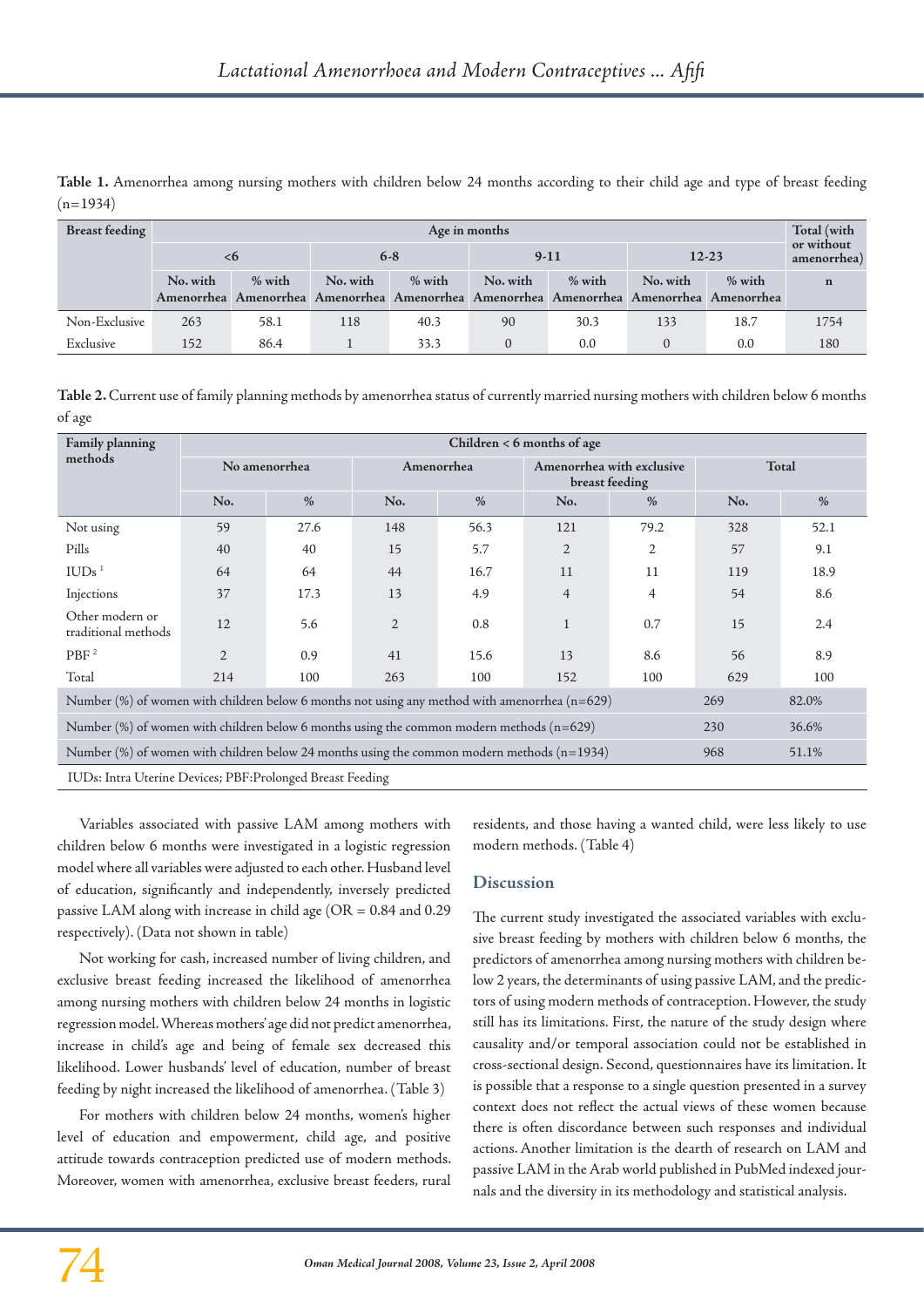| Table 1. Amenorrhea among nursing mothers with children below 24 months according to their child age and type of breast feeding |  |  |  |  |  |  |  |
|---------------------------------------------------------------------------------------------------------------------------------|--|--|--|--|--|--|--|
| $(n=1934)$                                                                                                                      |  |  |  |  |  |  |  |

| <b>Breast feeding</b><br>Age in months |          |        |                                                                                         |      |                    |      |                    |      | Total (with               |  |
|----------------------------------------|----------|--------|-----------------------------------------------------------------------------------------|------|--------------------|------|--------------------|------|---------------------------|--|
|                                        | 98       |        | $6-8$                                                                                   |      | $9-11$             |      | $12 - 23$          |      | or without<br>amenorrhea) |  |
|                                        | No. with | % with | No. with<br>% with                                                                      |      | % with<br>No. with |      | No. with<br>% with |      | $\mathbf n$               |  |
|                                        |          |        | Amenorrhea Amenorrhea Amenorrhea Amenorrhea Amenorrhea Amenorrhea Amenorrhea Amenorrhea |      |                    |      |                    |      |                           |  |
| Non-Exclusive                          | 263      | 58.1   | 118                                                                                     | 40.3 | 90                 | 30.3 | 133                | 18.7 | 1754                      |  |
| Exclusive                              | 152      | 86.4   |                                                                                         | 33.3 | $\Omega$           | 0.0  |                    | 0.0  | 180                       |  |

**Table 2.** Current use of family planning methods by amenorrhea status of currently married nursing mothers with children below 6 months of age

| <b>Family planning</b>                                                                                          | Children $< 6$ months of age |               |                |      |                                             |                |       |      |  |  |  |
|-----------------------------------------------------------------------------------------------------------------|------------------------------|---------------|----------------|------|---------------------------------------------|----------------|-------|------|--|--|--|
| methods                                                                                                         | No amenorrhea                |               | Amenorrhea     |      | Amenorrhea with exclusive<br>breast feeding |                | Total |      |  |  |  |
|                                                                                                                 | No.                          | $\frac{0}{0}$ | No.            | $\%$ | No.                                         | $\frac{0}{0}$  | No.   | $\%$ |  |  |  |
| Not using                                                                                                       | 59                           | 27.6          | 148            | 56.3 | 121                                         | 79.2           | 328   | 52.1 |  |  |  |
| Pills                                                                                                           | 40                           | 40            | 15             | 5.7  | 2                                           | 2              | 57    | 9.1  |  |  |  |
| IUDs <sup>1</sup>                                                                                               | 64                           | 64            | 44             | 16.7 | 11                                          | 11             | 119   | 18.9 |  |  |  |
| Injections                                                                                                      | 37                           | 17.3          | 13             | 4.9  | $\overline{4}$                              | $\overline{4}$ | 54    | 8.6  |  |  |  |
| Other modern or<br>traditional methods                                                                          | 12                           | 5.6           | $\overline{2}$ | 0.8  | $\mathbf{1}$                                | 0.7            | 15    | 2.4  |  |  |  |
| PBF <sup>2</sup>                                                                                                | $\overline{2}$               | 0.9           | 41             | 15.6 | 13                                          | 8.6            | 56    | 8.9  |  |  |  |
| Total                                                                                                           | 214                          | 100           | 263            | 100  | 152                                         | 100            | 629   | 100  |  |  |  |
| Number (%) of women with children below 6 months not using any method with amenorrhea $(n=629)$<br>269<br>82.0% |                              |               |                |      |                                             |                |       |      |  |  |  |
| Number (%) of women with children below 6 months using the common modern methods $(n=629)$<br>36.6%<br>230      |                              |               |                |      |                                             |                |       |      |  |  |  |
| Number (%) of women with children below 24 months using the common modern methods (n=1934)<br>968<br>51.1%      |                              |               |                |      |                                             |                |       |      |  |  |  |
| IUDs: Intra Uterine Devices; PBF: Prolonged Breast Feeding                                                      |                              |               |                |      |                                             |                |       |      |  |  |  |

Variables associated with passive LAM among mothers with children below 6 months were investigated in a logistic regression model where all variables were adjusted to each other. Husband level of education, significantly and independently, inversely predicted passive LAM along with increase in child age (OR = 0.84 and 0.29 respectively). (Data not shown in table)

Not working for cash, increased number of living children, and exclusive breast feeding increased the likelihood of amenorrhea among nursing mothers with children below 24 months in logistic regression model. Whereas mothers' age did not predict amenorrhea, increase in child's age and being of female sex decreased this likelihood. Lower husbands' level of education, number of breast feeding by night increased the likelihood of amenorrhea. (Table 3)

For mothers with children below 24 months, women's higher level of education and empowerment, child age, and positive attitude towards contraception predicted use of modern methods. Moreover, women with amenorrhea, exclusive breast feeders, rural residents, and those having a wanted child, were less likely to use modern methods. (Table 4)

# **Discussion**

The current study investigated the associated variables with exclusive breast feeding by mothers with children below 6 months, the predictors of amenorrhea among nursing mothers with children below 2 years, the determinants of using passive LAM, and the predictors of using modern methods of contraception. However, the study still has its limitations. First, the nature of the study design where causality and/or temporal association could not be established in cross-sectional design. Second, questionnaires have its limitation. It is possible that a response to a single question presented in a survey context does not reflect the actual views of these women because there is often discordance between such responses and individual actions. Another limitation is the dearth of research on LAM and passive LAM in the Arab world published in PubMed indexed journals and the diversity in its methodology and statistical analysis.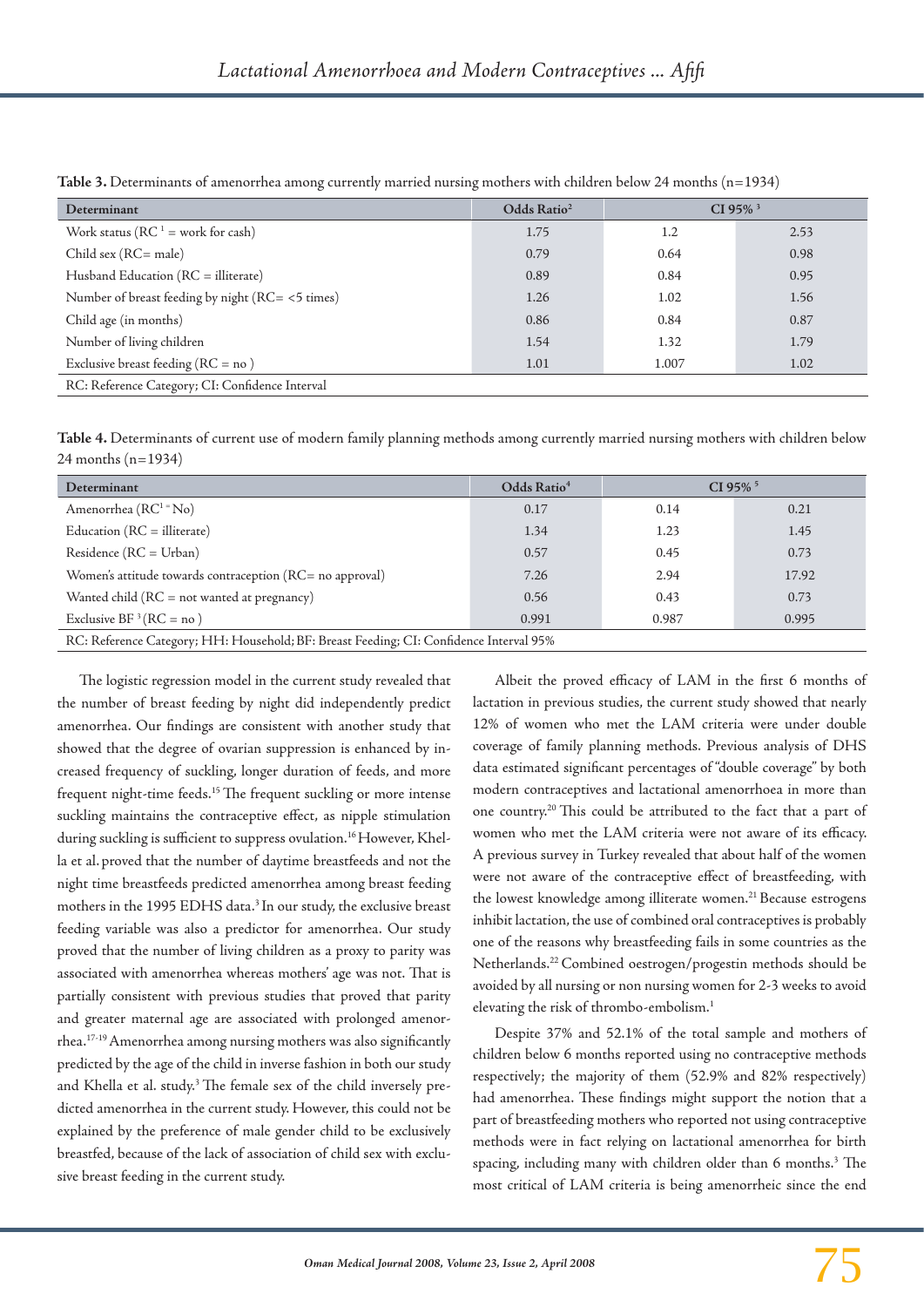| Determinant                                      | Odds Ratio <sup>2</sup> | $CI 95\%$ <sup>3</sup> |      |  |  |  |  |  |
|--------------------------------------------------|-------------------------|------------------------|------|--|--|--|--|--|
| Work status ( $RC1$ = work for cash)             | 1.75                    | $1.2\,$                | 2.53 |  |  |  |  |  |
| $Child$ sex ( $RC = male$ )                      | 0.79                    | 0.64                   | 0.98 |  |  |  |  |  |
| Husband Education (RC = illiterate)              | 0.89                    | 0.84                   | 0.95 |  |  |  |  |  |
| Number of breast feeding by night (RC= <5 times) | 1.26                    | 1.02                   | 1.56 |  |  |  |  |  |
| Child age (in months)                            | 0.86                    | 0.84                   | 0.87 |  |  |  |  |  |
| Number of living children                        | 1.54                    | 1.32                   | 1.79 |  |  |  |  |  |
| Exclusive breast feeding ( $RC = no$ )           | 1.01                    | 1.007                  | 1.02 |  |  |  |  |  |
| RC: Reference Category; CI: Confidence Interval  |                         |                        |      |  |  |  |  |  |

**Table 3.** Determinants of amenorrhea among currently married nursing mothers with children below 24 months (n=1934)

**Table 4.** Determinants of current use of modern family planning methods among currently married nursing mothers with children below 24 months (n=1934)

| Determinant                                                                            | Odds Ratio <sup>4</sup> |       | $CI$ 95% $5$ |  |  |  |  |  |
|----------------------------------------------------------------------------------------|-------------------------|-------|--------------|--|--|--|--|--|
| Amenorrhea ( $RC1 = No$ )                                                              | 0.17                    | 0.14  | 0.21         |  |  |  |  |  |
| Education $(RC = 1)$ literate)                                                         | 1.34                    | 1.23  | 1.45         |  |  |  |  |  |
| $Residence (RC = Urban)$                                                               | 0.57                    | 0.45  | 0.73         |  |  |  |  |  |
| Women's attitude towards contraception (RC= no approval)                               | 7.26                    | 2.94  | 17.92        |  |  |  |  |  |
| Wanted child (RC = not wanted at pregnancy)                                            | 0.56                    | 0.43  | 0.73         |  |  |  |  |  |
| Exclusive BF ${}^{3}$ (RC = no)                                                        | 0.991                   | 0.987 | 0.995        |  |  |  |  |  |
| RC: Reference Category; HH: Household; BF: Breast Feeding; CI: Confidence Interval 95% |                         |       |              |  |  |  |  |  |

The logistic regression model in the current study revealed that the number of breast feeding by night did independently predict amenorrhea. Our findings are consistent with another study that showed that the degree of ovarian suppression is enhanced by increased frequency of suckling, longer duration of feeds, and more frequent night-time feeds.<sup>15</sup> The frequent suckling or more intense suckling maintains the contraceptive effect, as nipple stimulation during suckling is sufficient to suppress ovulation.<sup>16</sup> However, Khella et al. proved that the number of daytime breastfeeds and not the night time breastfeeds predicted amenorrhea among breast feeding mothers in the 1995 EDHS data.<sup>3</sup> In our study, the exclusive breast feeding variable was also a predictor for amenorrhea. Our study proved that the number of living children as a proxy to parity was associated with amenorrhea whereas mothers' age was not. That is partially consistent with previous studies that proved that parity and greater maternal age are associated with prolonged amenorrhea.17-19 Amenorrhea among nursing mothers was also significantly predicted by the age of the child in inverse fashion in both our study and Khella et al. study.<sup>3</sup> The female sex of the child inversely predicted amenorrhea in the current study. However, this could not be explained by the preference of male gender child to be exclusively breastfed, because of the lack of association of child sex with exclusive breast feeding in the current study.

Albeit the proved efficacy of LAM in the first 6 months of lactation in previous studies, the current study showed that nearly 12% of women who met the LAM criteria were under double coverage of family planning methods. Previous analysis of DHS data estimated significant percentages of "double coverage" by both modern contraceptives and lactational amenorrhoea in more than one country.20 This could be attributed to the fact that a part of women who met the LAM criteria were not aware of its efficacy. A previous survey in Turkey revealed that about half of the women were not aware of the contraceptive effect of breastfeeding, with the lowest knowledge among illiterate women.<sup>21</sup> Because estrogens inhibit lactation, the use of combined oral contraceptives is probably one of the reasons why breastfeeding fails in some countries as the Netherlands.22 Combined oestrogen/progestin methods should be avoided by all nursing or non nursing women for 2-3 weeks to avoid elevating the risk of thrombo-embolism.1

Despite 37% and 52.1% of the total sample and mothers of children below 6 months reported using no contraceptive methods respectively; the majority of them (52.9% and 82% respectively) had amenorrhea. These findings might support the notion that a part of breastfeeding mothers who reported not using contraceptive methods were in fact relying on lactational amenorrhea for birth spacing, including many with children older than 6 months.<sup>3</sup> The most critical of LAM criteria is being amenorrheic since the end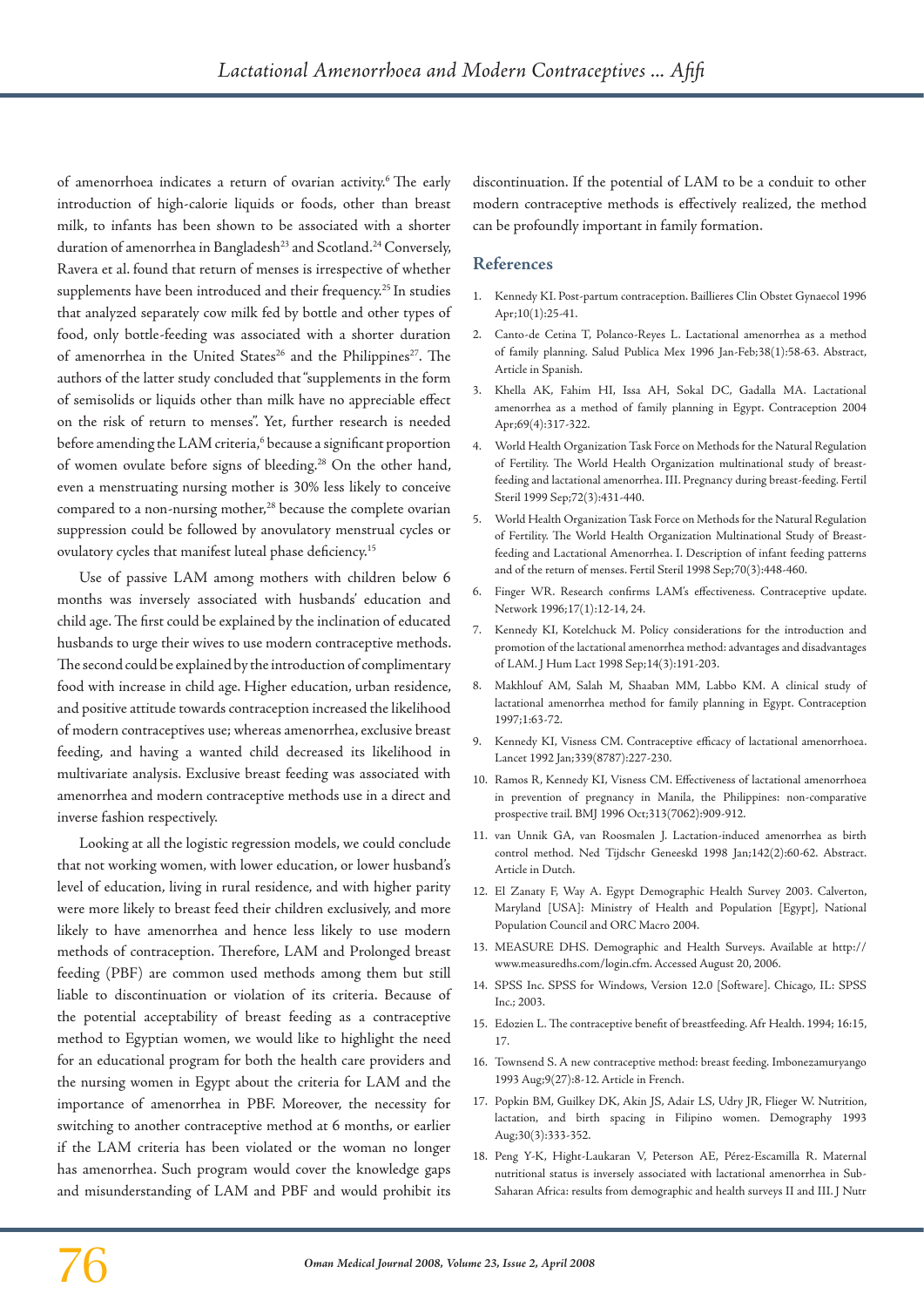of amenorrhoea indicates a return of ovarian activity.6 The early introduction of high-calorie liquids or foods, other than breast milk, to infants has been shown to be associated with a shorter duration of amenorrhea in Bangladesh<sup>23</sup> and Scotland.<sup>24</sup> Conversely, Ravera et al. found that return of menses is irrespective of whether supplements have been introduced and their frequency.<sup>25</sup> In studies that analyzed separately cow milk fed by bottle and other types of food, only bottle-feeding was associated with a shorter duration of amenorrhea in the United States<sup>26</sup> and the Philippines<sup>27</sup>. The authors of the latter study concluded that "supplements in the form of semisolids or liquids other than milk have no appreciable effect on the risk of return to menses". Yet, further research is needed before amending the LAM criteria,<sup>6</sup> because a significant proportion of women ovulate before signs of bleeding.28 On the other hand, even a menstruating nursing mother is 30% less likely to conceive compared to a non-nursing mother,<sup>28</sup> because the complete ovarian suppression could be followed by anovulatory menstrual cycles or ovulatory cycles that manifest luteal phase deficiency.15

Use of passive LAM among mothers with children below 6 months was inversely associated with husbands' education and child age. The first could be explained by the inclination of educated husbands to urge their wives to use modern contraceptive methods. The second could be explained by the introduction of complimentary food with increase in child age. Higher education, urban residence, and positive attitude towards contraception increased the likelihood of modern contraceptives use; whereas amenorrhea, exclusive breast feeding, and having a wanted child decreased its likelihood in multivariate analysis. Exclusive breast feeding was associated with amenorrhea and modern contraceptive methods use in a direct and inverse fashion respectively.

Looking at all the logistic regression models, we could conclude that not working women, with lower education, or lower husband's level of education, living in rural residence, and with higher parity were more likely to breast feed their children exclusively, and more likely to have amenorrhea and hence less likely to use modern methods of contraception. Therefore, LAM and Prolonged breast feeding (PBF) are common used methods among them but still liable to discontinuation or violation of its criteria. Because of the potential acceptability of breast feeding as a contraceptive method to Egyptian women, we would like to highlight the need for an educational program for both the health care providers and the nursing women in Egypt about the criteria for LAM and the importance of amenorrhea in PBF. Moreover, the necessity for switching to another contraceptive method at 6 months, or earlier if the LAM criteria has been violated or the woman no longer has amenorrhea. Such program would cover the knowledge gaps and misunderstanding of LAM and PBF and would prohibit its discontinuation. If the potential of LAM to be a conduit to other modern contraceptive methods is effectively realized, the method can be profoundly important in family formation.

#### **References**

- 1. Kennedy KI. Post-partum contraception. Baillieres Clin Obstet Gynaecol 1996 Apr;10(1):25-41.
- 2. Canto-de Cetina T, Polanco-Reyes L. Lactational amenorrhea as a method of family planning. Salud Publica Mex 1996 Jan-Feb;38(1):58-63. Abstract, Article in Spanish.
- 3. Khella AK, Fahim HI, Issa AH, Sokal DC, Gadalla MA. Lactational amenorrhea as a method of family planning in Egypt. Contraception 2004 Apr;69(4):317-322.
- 4. World Health Organization Task Force on Methods for the Natural Regulation of Fertility. The World Health Organization multinational study of breastfeeding and lactational amenorrhea. III. Pregnancy during breast-feeding. Fertil Steril 1999 Sep;72(3):431-440.
- 5. World Health Organization Task Force on Methods for the Natural Regulation of Fertility. The World Health Organization Multinational Study of Breastfeeding and Lactational Amenorrhea. I. Description of infant feeding patterns and of the return of menses. Fertil Steril 1998 Sep;70(3):448-460.
- 6. Finger WR. Research confirms LAM's effectiveness. Contraceptive update. Network 1996;17(1):12-14, 24.
- 7. Kennedy KI, Kotelchuck M. Policy considerations for the introduction and promotion of the lactational amenorrhea method: advantages and disadvantages of LAM. J Hum Lact 1998 Sep;14(3):191-203.
- 8. Makhlouf AM, Salah M, Shaaban MM, Labbo KM. A clinical study of lactational amenorrhea method for family planning in Egypt. Contraception 1997;1:63-72.
- 9. Kennedy KI, Visness CM. Contraceptive efficacy of lactational amenorrhoea. Lancet 1992 Jan;339(8787):227-230.
- 10. Ramos R, Kennedy KI, Visness CM. Effectiveness of lactational amenorrhoea in prevention of pregnancy in Manila, the Philippines: non-comparative prospective trail. BMJ 1996 Oct;313(7062):909-912.
- 11. van Unnik GA, van Roosmalen J. Lactation-induced amenorrhea as birth control method. Ned Tijdschr Geneeskd 1998 Jan;142(2):60-62. Abstract. Article in Dutch.
- 12. El Zanaty F, Way A. Egypt Demographic Health Survey 2003. Calverton, Maryland [USA]: Ministry of Health and Population [Egypt], National Population Council and ORC Macro 2004.
- 13. MEASURE DHS. Demographic and Health Surveys. Available at http:// www.measuredhs.com/login.cfm. Accessed August 20, 2006.
- 14. SPSS Inc. SPSS for Windows, Version 12.0 [Software]. Chicago, IL: SPSS Inc.; 2003.
- 15. Edozien L. The contraceptive benefit of breastfeeding. Afr Health. 1994; 16:15, 17.
- 16. Townsend S. A new contraceptive method: breast feeding. Imbonezamuryango 1993 Aug;9(27):8-12. Article in French.
- 17. Popkin BM, Guilkey DK, Akin JS, Adair LS, Udry JR, Flieger W. Nutrition, lactation, and birth spacing in Filipino women. Demography 1993 Aug;30(3):333-352.
- 18. Peng Y-K, Hight-Laukaran V, Peterson AE, Pérez-Escamilla R. Maternal nutritional status is inversely associated with lactational amenorrhea in Sub-Saharan Africa: results from demographic and health surveys II and III. J Nutr